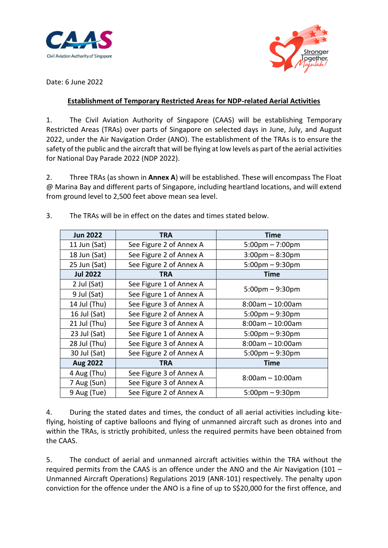



Date: 6 June 2022

## **Establishment of Temporary Restricted Areas for NDP-related Aerial Activities**

1. The Civil Aviation Authority of Singapore (CAAS) will be establishing Temporary Restricted Areas (TRAs) over parts of Singapore on selected days in June, July, and August 2022, under the Air Navigation Order (ANO). The establishment of the TRAs is to ensure the safety of the public and the aircraft that will be flying at low levels as part of the aerial activities for National Day Parade 2022 (NDP 2022).

2. Three TRAs (as shown in **Annex A**) will be established. These will encompass The Float @ Marina Bay and different parts of Singapore, including heartland locations, and will extend from ground level to 2,500 feet above mean sea level.

| <b>Jun 2022</b> | TRA                     | <b>Time</b>                       |
|-----------------|-------------------------|-----------------------------------|
| 11 Jun (Sat)    | See Figure 2 of Annex A | $5:00 \text{pm} - 7:00 \text{pm}$ |
| 18 Jun (Sat)    | See Figure 2 of Annex A | $3:00$ pm – $8:30$ pm             |
| 25 Jun (Sat)    | See Figure 2 of Annex A | $5:00$ pm $-9:30$ pm              |
| <b>Jul 2022</b> | <b>TRA</b>              | Time                              |
| 2 Jul (Sat)     | See Figure 1 of Annex A | $5:00$ pm $-9:30$ pm              |
| 9 Jul (Sat)     | See Figure 1 of Annex A |                                   |
| 14 Jul (Thu)    | See Figure 3 of Annex A | $8:00am - 10:00am$                |
| 16 Jul (Sat)    | See Figure 2 of Annex A | $5:00$ pm $-9:30$ pm              |
| 21 Jul (Thu)    | See Figure 3 of Annex A | $8:00am - 10:00am$                |
| 23 Jul (Sat)    | See Figure 1 of Annex A | $5:00$ pm $-9:30$ pm              |
| 28 Jul (Thu)    | See Figure 3 of Annex A | $8:00am - 10:00am$                |
| 30 Jul (Sat)    | See Figure 2 of Annex A | $5:00$ pm $-9:30$ pm              |
| <b>Aug 2022</b> | <b>TRA</b>              | Time                              |
| 4 Aug (Thu)     | See Figure 3 of Annex A | $8:00am - 10:00am$                |
| 7 Aug (Sun)     | See Figure 3 of Annex A |                                   |
| 9 Aug (Tue)     | See Figure 2 of Annex A | $5:00$ pm $-9:30$ pm              |

3. The TRAs will be in effect on the dates and times stated below.

4. During the stated dates and times, the conduct of all aerial activities including kiteflying, hoisting of captive balloons and flying of unmanned aircraft such as drones into and within the TRAs, is strictly prohibited, unless the required permits have been obtained from the CAAS.

5. The conduct of aerial and unmanned aircraft activities within the TRA without the required permits from the CAAS is an offence under the ANO and the Air Navigation (101 – Unmanned Aircraft Operations) Regulations 2019 (ANR-101) respectively. The penalty upon conviction for the offence under the ANO is a fine of up to S\$20,000 for the first offence, and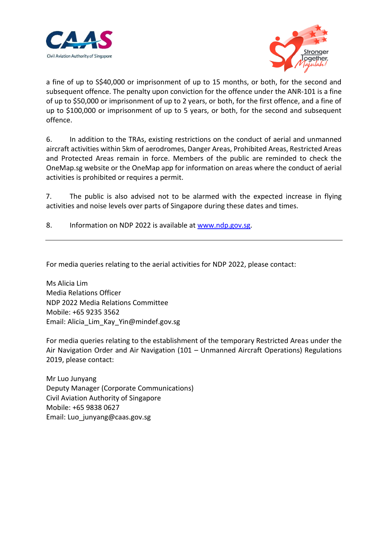



a fine of up to S\$40,000 or imprisonment of up to 15 months, or both, for the second and subsequent offence. The penalty upon conviction for the offence under the ANR-101 is a fine of up to \$50,000 or imprisonment of up to 2 years, or both, for the first offence, and a fine of up to \$100,000 or imprisonment of up to 5 years, or both, for the second and subsequent offence.

6. In addition to the TRAs, existing restrictions on the conduct of aerial and unmanned aircraft activities within 5km of aerodromes, Danger Areas, Prohibited Areas, Restricted Areas and Protected Areas remain in force. Members of the public are reminded to check the OneMap.sg website or the OneMap app for information on areas where the conduct of aerial activities is prohibited or requires a permit.

7. The public is also advised not to be alarmed with the expected increase in flying activities and noise levels over parts of Singapore during these dates and times.

8. Information on NDP 2022 is available at [www.ndp.gov.sg.](http://www.ndp.gov.sg/)

For media queries relating to the aerial activities for NDP 2022, please contact:

Ms Alicia Lim Media Relations Officer NDP 2022 Media Relations Committee Mobile: +65 9235 3562 Email: Alicia\_Lim\_Kay\_Yin@mindef.gov.sg

For media queries relating to the establishment of the temporary Restricted Areas under the Air Navigation Order and Air Navigation (101 – Unmanned Aircraft Operations) Regulations 2019, please contact:

Mr Luo Junyang Deputy Manager (Corporate Communications) Civil Aviation Authority of Singapore Mobile: +65 9838 0627 Email: Luo\_junyang@caas.gov.sg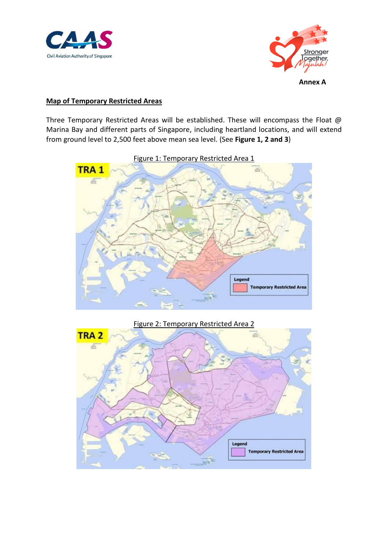



**Annex A**

## **Map of Temporary Restricted Areas**

Three Temporary Restricted Areas will be established. These will encompass the Float @ Marina Bay and different parts of Singapore, including heartland locations, and will extend from ground level to 2,500 feet above mean sea level. (See **Figure 1, 2 and 3**)



Figure 1: Temporary Restricted Area 1

Figure 2: Temporary Restricted Area 2